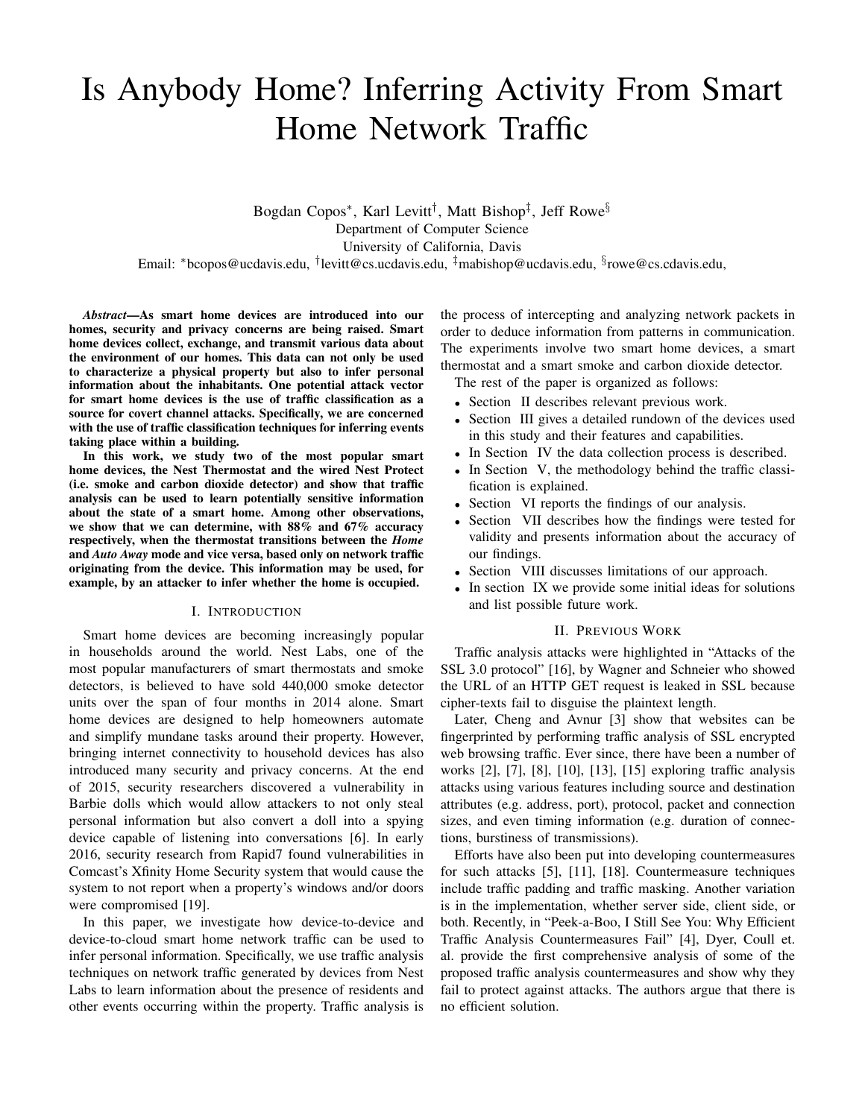# Is Anybody Home? Inferring Activity From Smart Home Network Traffic

Bogdan Copos\*, Karl Levitt<sup>†</sup>, Matt Bishop‡, Jeff Rowe<sup>§</sup> Department of Computer Science University of California, Davis Email: \*bcopos@ucdavis.edu, <sup>†</sup>levitt@cs.ucdavis.edu, <sup>‡</sup>mabishop@ucdavis.edu, <sup>§</sup>rowe@cs.cdavis.edu,

*Abstract*—As smart home devices are introduced into our homes, security and privacy concerns are being raised. Smart home devices collect, exchange, and transmit various data about the environment of our homes. This data can not only be used to characterize a physical property but also to infer personal information about the inhabitants. One potential attack vector for smart home devices is the use of traffic classification as a source for covert channel attacks. Specifically, we are concerned with the use of traffic classification techniques for inferring events taking place within a building.

In this work, we study two of the most popular smart home devices, the Nest Thermostat and the wired Nest Protect (i.e. smoke and carbon dioxide detector) and show that traffic analysis can be used to learn potentially sensitive information about the state of a smart home. Among other observations, we show that we can determine, with  $88\%$  and  $67\%$  accuracy respectively, when the thermostat transitions between the *Home* and *Auto Away* mode and vice versa, based only on network traffic originating from the device. This information may be used, for example, by an attacker to infer whether the home is occupied.

# I. INTRODUCTION

Smart home devices are becoming increasingly popular in households around the world. Nest Labs, one of the most popular manufacturers of smart thermostats and smoke detectors, is believed to have sold 440,000 smoke detector units over the span of four months in 2014 alone. Smart home devices are designed to help homeowners automate and simplify mundane tasks around their property. However, bringing internet connectivity to household devices has also introduced many security and privacy concerns. At the end of 2015, security researchers discovered a vulnerability in Barbie dolls which would allow attackers to not only steal personal information but also convert a doll into a spying device capable of listening into conversations [6]. In early 2016, security research from Rapid7 found vulnerabilities in Comcast's Xfinity Home Security system that would cause the system to not report when a property's windows and/or doors were compromised [19].

In this paper, we investigate how device-to-device and device-to-cloud smart home network traffic can be used to infer personal information. Specifically, we use traffic analysis techniques on network traffic generated by devices from Nest Labs to learn information about the presence of residents and other events occurring within the property. Traffic analysis is the process of intercepting and analyzing network packets in order to deduce information from patterns in communication. The experiments involve two smart home devices, a smart thermostat and a smart smoke and carbon dioxide detector.

The rest of the paper is organized as follows:

- Section II describes relevant previous work.
- Section III gives a detailed rundown of the devices used in this study and their features and capabilities.
- In Section IV the data collection process is described.
- In Section V, the methodology behind the traffic classification is explained.
- Section VI reports the findings of our analysis.
- Section VII describes how the findings were tested for validity and presents information about the accuracy of our findings.
- Section VIII discusses limitations of our approach.
- In section IX we provide some initial ideas for solutions and list possible future work.

#### II. PREVIOUS WORK

Traffic analysis attacks were highlighted in "Attacks of the SSL 3.0 protocol" [16], by Wagner and Schneier who showed the URL of an HTTP GET request is leaked in SSL because cipher-texts fail to disguise the plaintext length.

Later, Cheng and Avnur [3] show that websites can be fingerprinted by performing traffic analysis of SSL encrypted web browsing traffic. Ever since, there have been a number of works [2], [7], [8], [10], [13], [15] exploring traffic analysis attacks using various features including source and destination attributes (e.g. address, port), protocol, packet and connection sizes, and even timing information (e.g. duration of connections, burstiness of transmissions).

Efforts have also been put into developing countermeasures for such attacks [5], [11], [18]. Countermeasure techniques include traffic padding and traffic masking. Another variation is in the implementation, whether server side, client side, or both. Recently, in "Peek-a-Boo, I Still See You: Why Efficient Traffic Analysis Countermeasures Fail" [4], Dyer, Coull et. al. provide the first comprehensive analysis of some of the proposed traffic analysis countermeasures and show why they fail to protect against attacks. The authors argue that there is no efficient solution.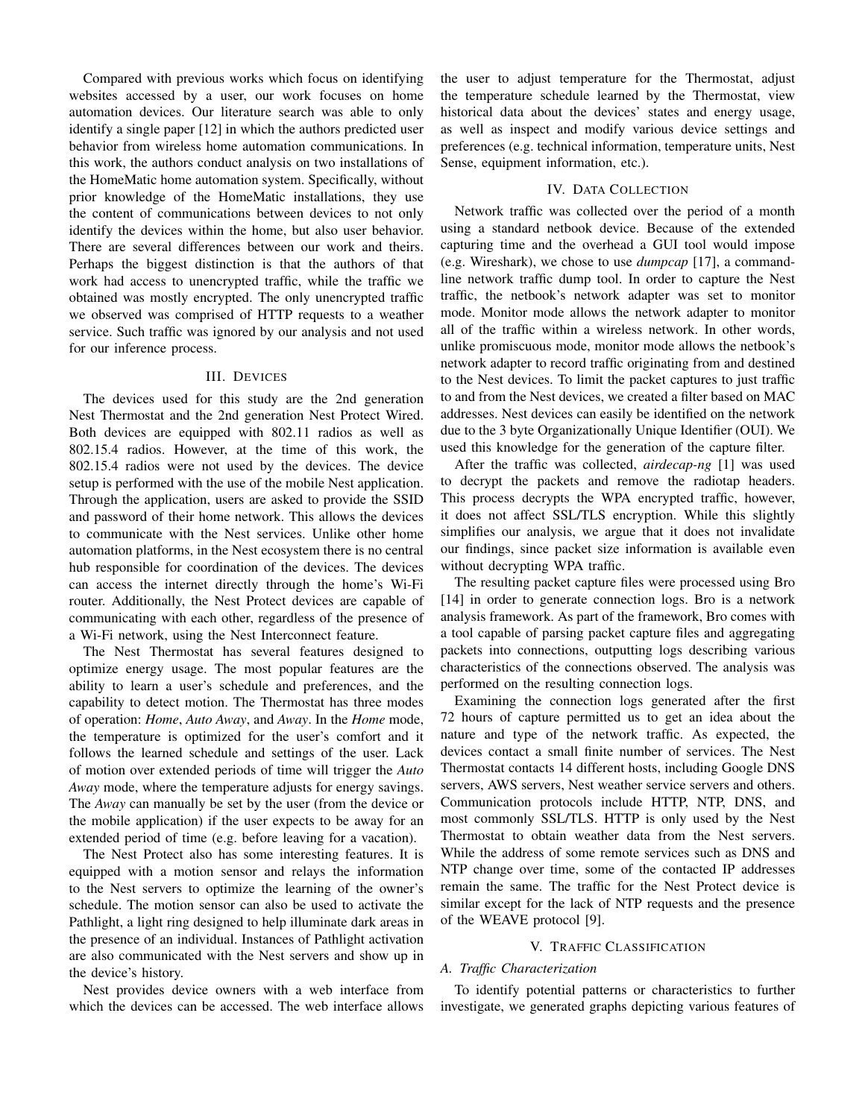Compared with previous works which focus on identifying websites accessed by a user, our work focuses on home automation devices. Our literature search was able to only identify a single paper [12] in which the authors predicted user behavior from wireless home automation communications. In this work, the authors conduct analysis on two installations of the HomeMatic home automation system. Specifically, without prior knowledge of the HomeMatic installations, they use the content of communications between devices to not only identify the devices within the home, but also user behavior. There are several differences between our work and theirs. Perhaps the biggest distinction is that the authors of that work had access to unencrypted traffic, while the traffic we obtained was mostly encrypted. The only unencrypted traffic we observed was comprised of HTTP requests to a weather service. Such traffic was ignored by our analysis and not used for our inference process.

# III. DEVICES

The devices used for this study are the 2nd generation Nest Thermostat and the 2nd generation Nest Protect Wired. Both devices are equipped with 802.11 radios as well as 802.15.4 radios. However, at the time of this work, the 802.15.4 radios were not used by the devices. The device setup is performed with the use of the mobile Nest application. Through the application, users are asked to provide the SSID and password of their home network. This allows the devices to communicate with the Nest services. Unlike other home automation platforms, in the Nest ecosystem there is no central hub responsible for coordination of the devices. The devices can access the internet directly through the home's Wi-Fi router. Additionally, the Nest Protect devices are capable of communicating with each other, regardless of the presence of a Wi-Fi network, using the Nest Interconnect feature.

The Nest Thermostat has several features designed to optimize energy usage. The most popular features are the ability to learn a user's schedule and preferences, and the capability to detect motion. The Thermostat has three modes of operation: *Home*, *Auto Away*, and *Away*. In the *Home* mode, the temperature is optimized for the user's comfort and it follows the learned schedule and settings of the user. Lack of motion over extended periods of time will trigger the *Auto Away* mode, where the temperature adjusts for energy savings. The *Away* can manually be set by the user (from the device or the mobile application) if the user expects to be away for an extended period of time (e.g. before leaving for a vacation).

The Nest Protect also has some interesting features. It is equipped with a motion sensor and relays the information to the Nest servers to optimize the learning of the owner's schedule. The motion sensor can also be used to activate the Pathlight, a light ring designed to help illuminate dark areas in the presence of an individual. Instances of Pathlight activation are also communicated with the Nest servers and show up in the device's history.

Nest provides device owners with a web interface from which the devices can be accessed. The web interface allows the user to adjust temperature for the Thermostat, adjust the temperature schedule learned by the Thermostat, view historical data about the devices' states and energy usage, as well as inspect and modify various device settings and preferences (e.g. technical information, temperature units, Nest Sense, equipment information, etc.).

### IV. DATA COLLECTION

Network traffic was collected over the period of a month using a standard netbook device. Because of the extended capturing time and the overhead a GUI tool would impose (e.g. Wireshark), we chose to use *dumpcap* [17], a commandline network traffic dump tool. In order to capture the Nest traffic, the netbook's network adapter was set to monitor mode. Monitor mode allows the network adapter to monitor all of the traffic within a wireless network. In other words, unlike promiscuous mode, monitor mode allows the netbook's network adapter to record traffic originating from and destined to the Nest devices. To limit the packet captures to just traffic to and from the Nest devices, we created a filter based on MAC addresses. Nest devices can easily be identified on the network due to the 3 byte Organizationally Unique Identifier (OUI). We used this knowledge for the generation of the capture filter.

After the traffic was collected, *airdecap-ng* [1] was used to decrypt the packets and remove the radiotap headers. This process decrypts the WPA encrypted traffic, however, it does not affect SSL/TLS encryption. While this slightly simplifies our analysis, we argue that it does not invalidate our findings, since packet size information is available even without decrypting WPA traffic.

The resulting packet capture files were processed using Bro [14] in order to generate connection logs. Bro is a network analysis framework. As part of the framework, Bro comes with a tool capable of parsing packet capture files and aggregating packets into connections, outputting logs describing various characteristics of the connections observed. The analysis was performed on the resulting connection logs.

Examining the connection logs generated after the first 72 hours of capture permitted us to get an idea about the nature and type of the network traffic. As expected, the devices contact a small finite number of services. The Nest Thermostat contacts 14 different hosts, including Google DNS servers, AWS servers, Nest weather service servers and others. Communication protocols include HTTP, NTP, DNS, and most commonly SSL/TLS. HTTP is only used by the Nest Thermostat to obtain weather data from the Nest servers. While the address of some remote services such as DNS and NTP change over time, some of the contacted IP addresses remain the same. The traffic for the Nest Protect device is similar except for the lack of NTP requests and the presence of the WEAVE protocol [9].

# V. TRAFFIC CLASSIFICATION

# *A. Traffic Characterization*

To identify potential patterns or characteristics to further investigate, we generated graphs depicting various features of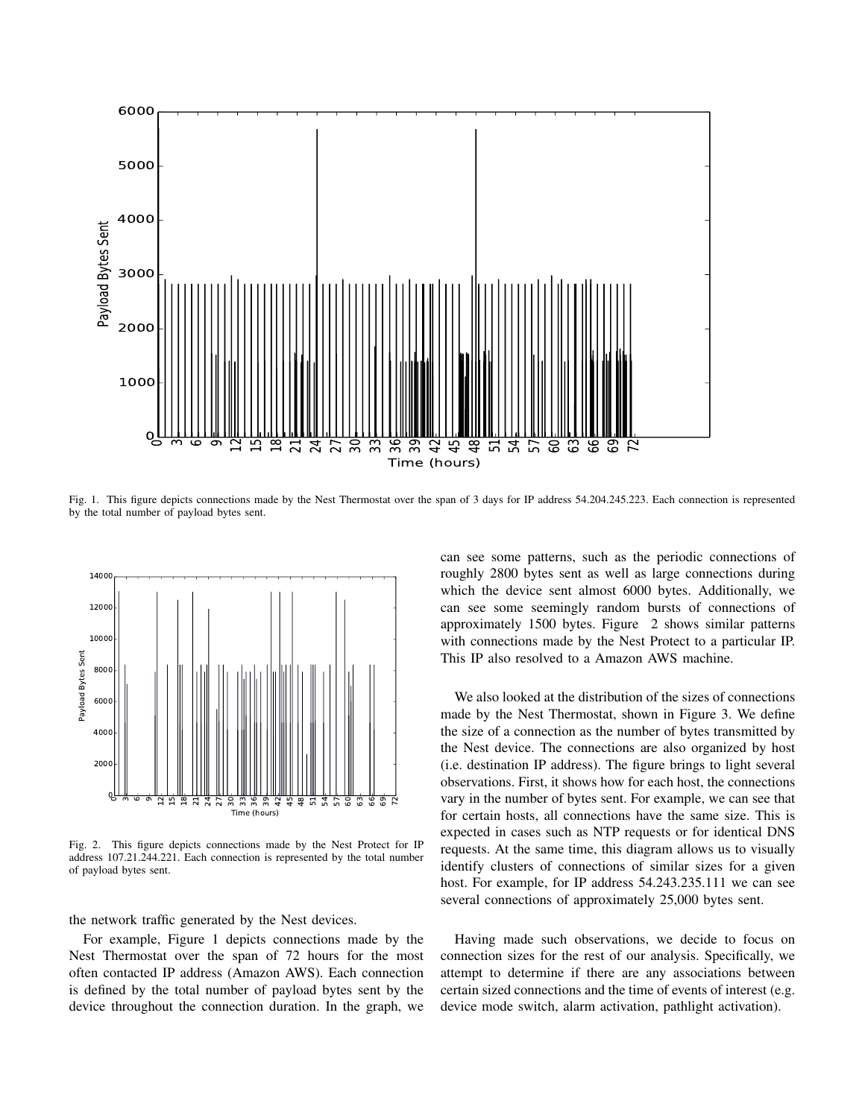

Fig. 1. This figure depicts connections made by the Nest Thermostat over the span of 3 days for IP address 54.204.245.223. Each connection is represented by the total number of payload bytes sent.



Fig. 2. This figure depicts connections made by the Nest Protect for IP address 107.21.244.221. Each connection is represented by the total number of payload bytes sent.

the network traffic generated by the Nest devices.

For example, Figure 1 depicts connections made by the Nest Thermostat over the span of 72 hours for the most often contacted IP address (Amazon AWS). Each connection is defined by the total number of payload bytes sent by the device throughout the connection duration. In the graph, we can see some patterns, such as the periodic connections of roughly 2800 bytes sent as well as large connections during which the device sent almost 6000 bytes. Additionally, we can see some seemingly random bursts of connections of approximately 1500 bytes. Figure 2 shows similar patterns with connections made by the Nest Protect to a particular IP. This IP also resolved to a Amazon AWS machine.

We also looked at the distribution of the sizes of connections made by the Nest Thermostat, shown in Figure 3. We define the size of a connection as the number of bytes transmitted by the Nest device. The connections are also organized by host (i.e. destination IP address). The figure brings to light several observations. First, it shows how for each host, the connections vary in the number of bytes sent. For example, we can see that for certain hosts, all connections have the same size. This is expected in cases such as NTP requests or for identical DNS requests. At the same time, this diagram allows us to visually identify clusters of connections of similar sizes for a given host. For example, for IP address 54.243.235.111 we can see several connections of approximately 25,000 bytes sent.

Having made such observations, we decide to focus on connection sizes for the rest of our analysis. Specifically, we attempt to determine if there are any associations between certain sized connections and the time of events of interest (e.g. device mode switch, alarm activation, pathlight activation).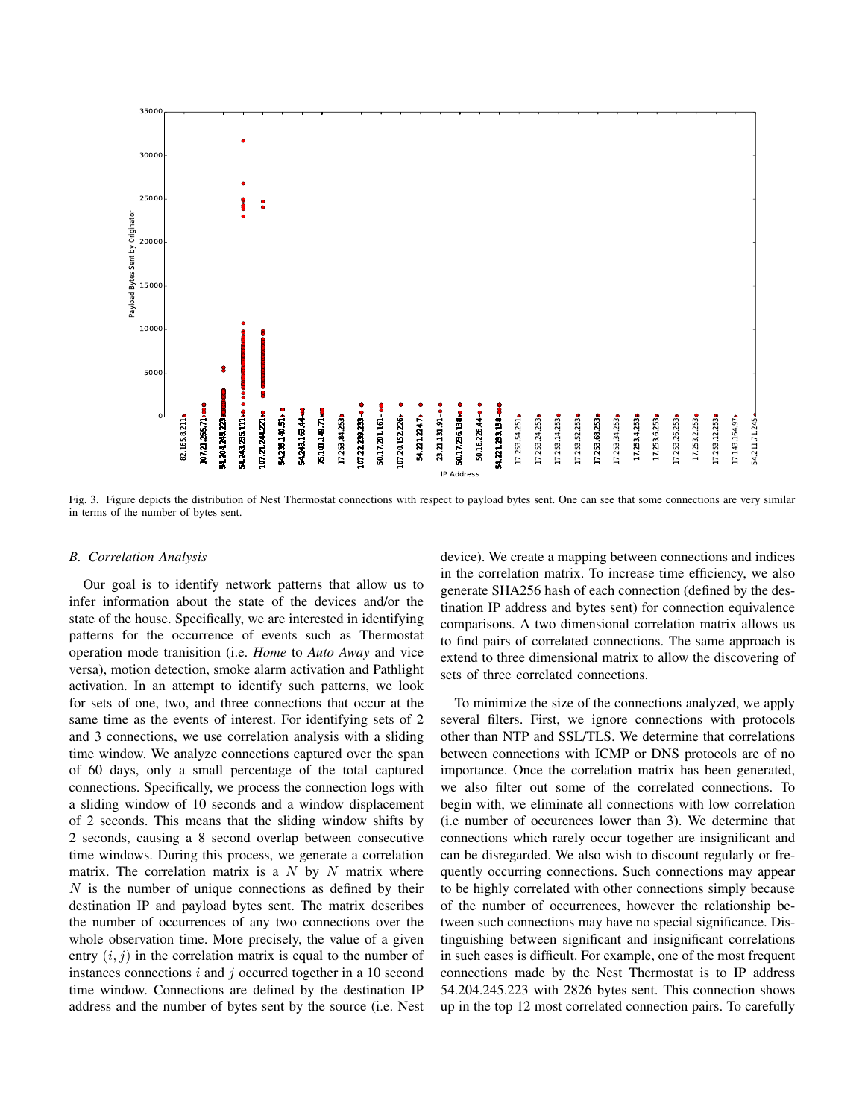

Fig. 3. Figure depicts the distribution of Nest Thermostat connections with respect to payload bytes sent. One can see that some connections are very similar in terms of the number of bytes sent.

# *B. Correlation Analysis*

Our goal is to identify network patterns that allow us to infer information about the state of the devices and/or the state of the house. Specifically, we are interested in identifying patterns for the occurrence of events such as Thermostat operation mode tranisition (i.e. *Home* to *Auto Away* and vice versa), motion detection, smoke alarm activation and Pathlight activation. In an attempt to identify such patterns, we look for sets of one, two, and three connections that occur at the same time as the events of interest. For identifying sets of 2 and 3 connections, we use correlation analysis with a sliding time window. We analyze connections captured over the span of 60 days, only a small percentage of the total captured connections. Specifically, we process the connection logs with a sliding window of 10 seconds and a window displacement of 2 seconds. This means that the sliding window shifts by 2 seconds, causing a 8 second overlap between consecutive time windows. During this process, we generate a correlation matrix. The correlation matrix is a  $N$  by  $N$  matrix where  $N$  is the number of unique connections as defined by their destination IP and payload bytes sent. The matrix describes the number of occurrences of any two connections over the whole observation time. More precisely, the value of a given entry  $(i, j)$  in the correlation matrix is equal to the number of instances connections  $i$  and  $j$  occurred together in a 10 second time window. Connections are defined by the destination IP address and the number of bytes sent by the source (i.e. Nest

device). We create a mapping between connections and indices in the correlation matrix. To increase time efficiency, we also generate SHA256 hash of each connection (defined by the destination IP address and bytes sent) for connection equivalence comparisons. A two dimensional correlation matrix allows us to find pairs of correlated connections. The same approach is extend to three dimensional matrix to allow the discovering of sets of three correlated connections.

To minimize the size of the connections analyzed, we apply several filters. First, we ignore connections with protocols other than NTP and SSL/TLS. We determine that correlations between connections with ICMP or DNS protocols are of no importance. Once the correlation matrix has been generated, we also filter out some of the correlated connections. To begin with, we eliminate all connections with low correlation (i.e number of occurences lower than 3). We determine that connections which rarely occur together are insignificant and can be disregarded. We also wish to discount regularly or frequently occurring connections. Such connections may appear to be highly correlated with other connections simply because of the number of occurrences, however the relationship between such connections may have no special significance. Distinguishing between significant and insignificant correlations in such cases is difficult. For example, one of the most frequent connections made by the Nest Thermostat is to IP address 54.204.245.223 with 2826 bytes sent. This connection shows up in the top 12 most correlated connection pairs. To carefully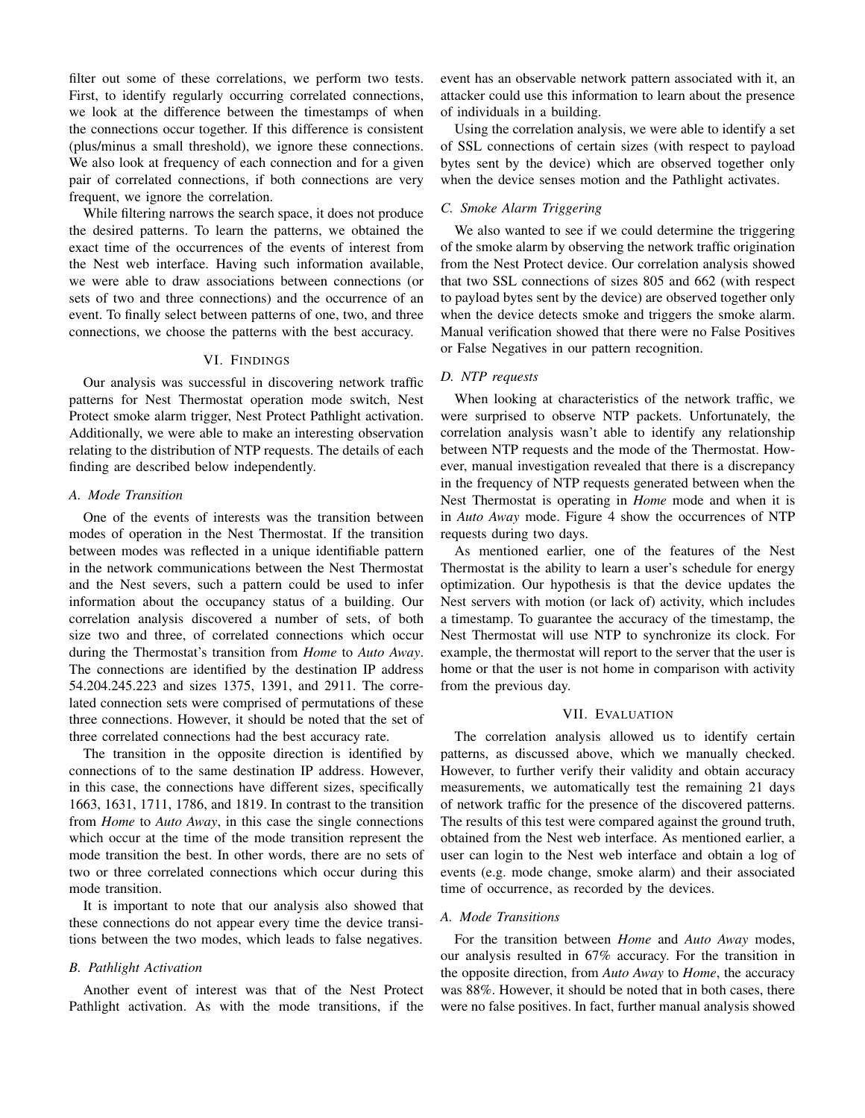filter out some of these correlations, we perform two tests. First, to identify regularly occurring correlated connections, we look at the difference between the timestamps of when the connections occur together. If this difference is consistent (plus/minus a small threshold), we ignore these connections. We also look at frequency of each connection and for a given pair of correlated connections, if both connections are very frequent, we ignore the correlation.

While filtering narrows the search space, it does not produce the desired patterns. To learn the patterns, we obtained the exact time of the occurrences of the events of interest from the Nest web interface. Having such information available, we were able to draw associations between connections (or sets of two and three connections) and the occurrence of an event. To finally select between patterns of one, two, and three connections, we choose the patterns with the best accuracy.

### VI. FINDINGS

Our analysis was successful in discovering network traffic patterns for Nest Thermostat operation mode switch, Nest Protect smoke alarm trigger, Nest Protect Pathlight activation. Additionally, we were able to make an interesting observation relating to the distribution of NTP requests. The details of each finding are described below independently.

# *A. Mode Transition*

One of the events of interests was the transition between modes of operation in the Nest Thermostat. If the transition between modes was reflected in a unique identifiable pattern in the network communications between the Nest Thermostat and the Nest severs, such a pattern could be used to infer information about the occupancy status of a building. Our correlation analysis discovered a number of sets, of both size two and three, of correlated connections which occur during the Thermostat's transition from *Home* to *Auto Away*. The connections are identified by the destination IP address 54.204.245.223 and sizes 1375, 1391, and 2911. The correlated connection sets were comprised of permutations of these three connections. However, it should be noted that the set of three correlated connections had the best accuracy rate.

The transition in the opposite direction is identified by connections of to the same destination IP address. However, in this case, the connections have different sizes, specifically 1663, 1631, 1711, 1786, and 1819. In contrast to the transition from *Home* to *Auto Away*, in this case the single connections which occur at the time of the mode transition represent the mode transition the best. In other words, there are no sets of two or three correlated connections which occur during this mode transition.

It is important to note that our analysis also showed that these connections do not appear every time the device transitions between the two modes, which leads to false negatives.

### *B. Pathlight Activation*

Another event of interest was that of the Nest Protect Pathlight activation. As with the mode transitions, if the event has an observable network pattern associated with it, an attacker could use this information to learn about the presence of individuals in a building.

Using the correlation analysis, we were able to identify a set of SSL connections of certain sizes (with respect to payload bytes sent by the device) which are observed together only when the device senses motion and the Pathlight activates.

# *C. Smoke Alarm Triggering*

We also wanted to see if we could determine the triggering of the smoke alarm by observing the network traffic origination from the Nest Protect device. Our correlation analysis showed that two SSL connections of sizes 805 and 662 (with respect to payload bytes sent by the device) are observed together only when the device detects smoke and triggers the smoke alarm. Manual verification showed that there were no False Positives or False Negatives in our pattern recognition.

## *D. NTP requests*

When looking at characteristics of the network traffic, we were surprised to observe NTP packets. Unfortunately, the correlation analysis wasn't able to identify any relationship between NTP requests and the mode of the Thermostat. However, manual investigation revealed that there is a discrepancy in the frequency of NTP requests generated between when the Nest Thermostat is operating in *Home* mode and when it is in *Auto Away* mode. Figure 4 show the occurrences of NTP requests during two days.

As mentioned earlier, one of the features of the Nest Thermostat is the ability to learn a user's schedule for energy optimization. Our hypothesis is that the device updates the Nest servers with motion (or lack of) activity, which includes a timestamp. To guarantee the accuracy of the timestamp, the Nest Thermostat will use NTP to synchronize its clock. For example, the thermostat will report to the server that the user is home or that the user is not home in comparison with activity from the previous day.

# VII. EVALUATION

The correlation analysis allowed us to identify certain patterns, as discussed above, which we manually checked. However, to further verify their validity and obtain accuracy measurements, we automatically test the remaining 21 days of network traffic for the presence of the discovered patterns. The results of this test were compared against the ground truth, obtained from the Nest web interface. As mentioned earlier, a user can login to the Nest web interface and obtain a log of events (e.g. mode change, smoke alarm) and their associated time of occurrence, as recorded by the devices.

# *A. Mode Transitions*

For the transition between *Home* and *Auto Away* modes, our analysis resulted in 67% accuracy. For the transition in the opposite direction, from *Auto Away* to *Home*, the accuracy was 88%. However, it should be noted that in both cases, there were no false positives. In fact, further manual analysis showed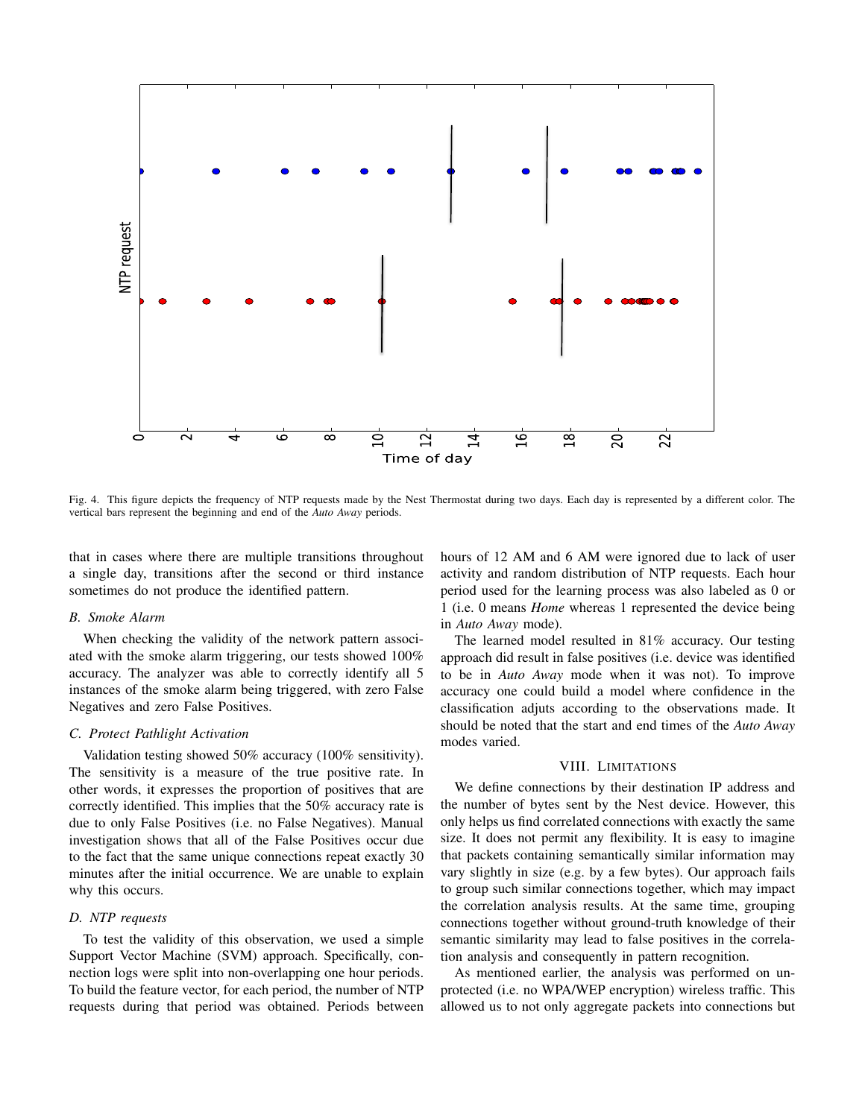

Fig. 4. This figure depicts the frequency of NTP requests made by the Nest Thermostat during two days. Each day is represented by a different color. The vertical bars represent the beginning and end of the *Auto Away* periods.

that in cases where there are multiple transitions throughout a single day, transitions after the second or third instance sometimes do not produce the identified pattern.

### *B. Smoke Alarm*

When checking the validity of the network pattern associated with the smoke alarm triggering, our tests showed 100% accuracy. The analyzer was able to correctly identify all 5 instances of the smoke alarm being triggered, with zero False Negatives and zero False Positives.

# *C. Protect Pathlight Activation*

Validation testing showed 50% accuracy (100% sensitivity). The sensitivity is a measure of the true positive rate. In other words, it expresses the proportion of positives that are correctly identified. This implies that the 50% accuracy rate is due to only False Positives (i.e. no False Negatives). Manual investigation shows that all of the False Positives occur due to the fact that the same unique connections repeat exactly 30 minutes after the initial occurrence. We are unable to explain why this occurs.

# *D. NTP requests*

To test the validity of this observation, we used a simple Support Vector Machine (SVM) approach. Specifically, connection logs were split into non-overlapping one hour periods. To build the feature vector, for each period, the number of NTP requests during that period was obtained. Periods between hours of 12 AM and 6 AM were ignored due to lack of user activity and random distribution of NTP requests. Each hour period used for the learning process was also labeled as 0 or 1 (i.e. 0 means *Home* whereas 1 represented the device being in *Auto Away* mode).

The learned model resulted in 81% accuracy. Our testing approach did result in false positives (i.e. device was identified to be in *Auto Away* mode when it was not). To improve accuracy one could build a model where confidence in the classification adjuts according to the observations made. It should be noted that the start and end times of the *Auto Away* modes varied.

#### VIII. LIMITATIONS

We define connections by their destination IP address and the number of bytes sent by the Nest device. However, this only helps us find correlated connections with exactly the same size. It does not permit any flexibility. It is easy to imagine that packets containing semantically similar information may vary slightly in size (e.g. by a few bytes). Our approach fails to group such similar connections together, which may impact the correlation analysis results. At the same time, grouping connections together without ground-truth knowledge of their semantic similarity may lead to false positives in the correlation analysis and consequently in pattern recognition.

As mentioned earlier, the analysis was performed on unprotected (i.e. no WPA/WEP encryption) wireless traffic. This allowed us to not only aggregate packets into connections but